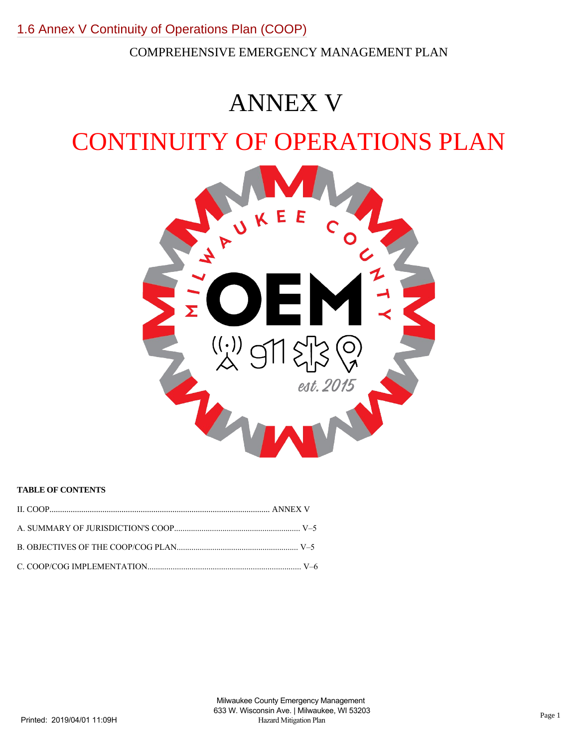COMPREHENSIVE EMERGENCY MANAGEMENT PLAN

# ANNEX V

## CONTINUITY OF OPERATIONS PLAN



## **TABLE OF CONTENTS**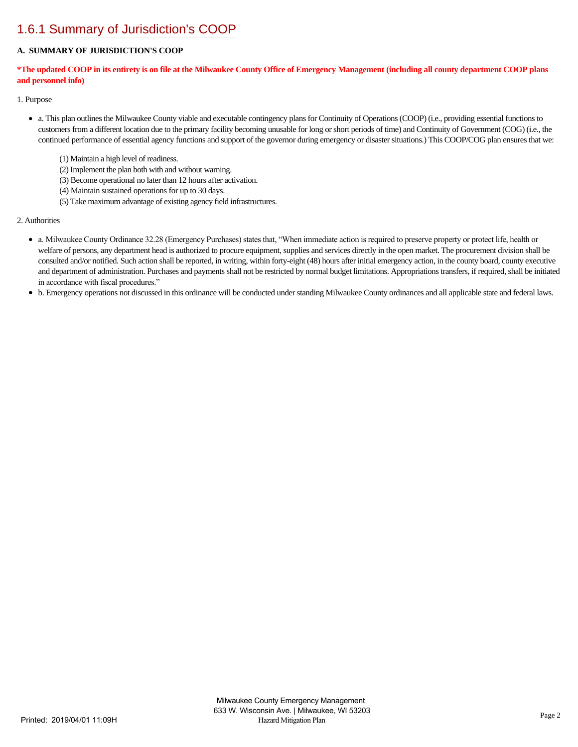## [1.6.1 Summary of Jurisdiction's COOP](https://milwaukeecounty.isc-cemp.com/Cemp/Details?id=5809782)

## **A. SUMMARY OF JURISDICTION'S COOP**

## **\*The updated COOP in its entirety is on file at the Milwaukee County Office of Emergency Management (including all county department COOP plans and personnel info)**

1. Purpose

- a. This plan outlines the Milwaukee County viable and executable contingency plans for Continuity of Operations (COOP) (i.e., providing essential functions to customers from a different location due to the primary facility becoming unusable for long or short periods of time) and Continuity of Government (COG) (i.e., the continued performance of essential agency functions and support of the governor during emergency or disaster situations.) This COOP/COG plan ensures that we:
	- (1) Maintain a high level of readiness.
	- (2) Implement the plan both with and without warning.
	- (3) Become operational no later than 12 hours after activation.
	- (4) Maintain sustained operations for up to 30 days.
	- (5) Take maximum advantage of existing agency field infrastructures.

### 2. Authorities

- a. Milwaukee County Ordinance 32.28 (Emergency Purchases) states that, "When immediate action is required to preserve property or protect life, health or welfare of persons, any department head is authorized to procure equipment, supplies and services directly in the open market. The procurement division shall be consulted and/or notified. Such action shall be reported, in writing, within forty-eight (48) hours after initial emergency action, in the county board, county executive and department of administration. Purchases and payments shall not be restricted by normal budget limitations. Appropriations transfers, if required, shall be initiated in accordance with fiscal procedures."
- b. Emergency operations not discussed in this ordinance will be conducted under standing Milwaukee County ordinances and all applicable state and federal laws.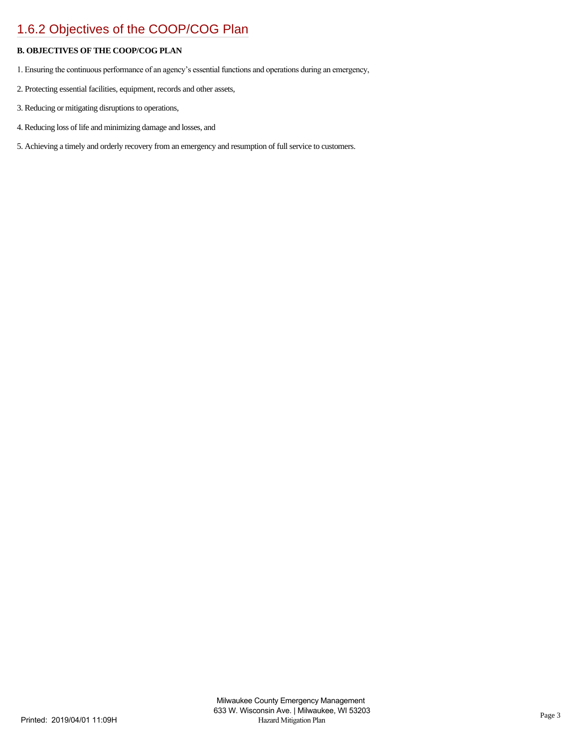## [1.6.2 Objectives of the COOP/COG Plan](https://milwaukeecounty.isc-cemp.com/Cemp/Details?id=5809784)

## **B. OBJECTIVES OF THE COOP/COG PLAN**

- 1. Ensuring the continuous performance of an agency's essential functions and operations during an emergency,
- 2. Protecting essential facilities, equipment, records and other assets,
- 3. Reducing or mitigating disruptions to operations,
- 4. Reducing loss of life and minimizing damage and losses, and
- 5. Achieving a timely and orderly recovery from an emergency and resumption of full service to customers.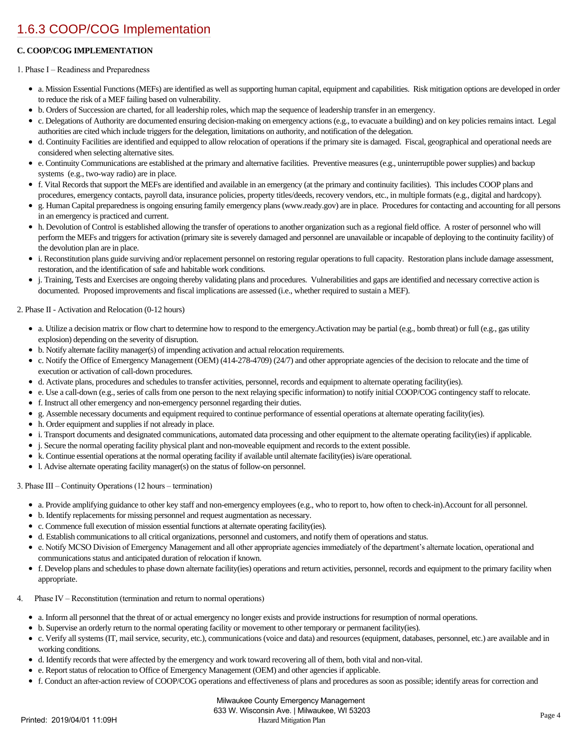## [1.6.3 COOP/COG Implementation](https://milwaukeecounty.isc-cemp.com/Cemp/Details?id=5809786)

## **C. COOP/COG IMPLEMENTATION**

### 1. Phase I – Readiness and Preparedness

- a. Mission Essential Functions (MEFs) are identified as well as supporting human capital, equipment and capabilities. Risk mitigation options are developed in order to reduce the risk of a MEF failing based on vulnerability.
- b. Orders of Succession are charted, for all leadership roles, which map the sequence of leadership transfer in an emergency.  $\bullet$
- c. Delegations of Authority are documented ensuring decision-making on emergency actions (e.g., to evacuate a building) and on key policies remains intact. Legal  $\bullet$ authorities are cited which include triggers for the delegation, limitations on authority, and notification of the delegation.
- d. Continuity Facilities are identified and equipped to allow relocation of operations if the primary site is damaged. Fiscal, geographical and operational needs are considered when selecting alternative sites.
- e. Continuity Communications are established at the primary and alternative facilities. Preventive measures (e.g., uninterruptible power supplies) and backup  $\bullet$ systems (e.g., two-way radio) are in place.
- f. Vital Records that support the MEFs are identified and available in an emergency (at the primary and continuity facilities). This includes COOP plans and procedures, emergency contacts, payroll data, insurance policies, property titles/deeds, recovery vendors, etc., in multiple formats (e.g., digital and hardcopy).
- $\bullet$ g. Human Capital preparedness is ongoing ensuring family emergency plans (www.ready.gov) are in place. Procedures for contacting and accounting for all persons in an emergency is practiced and current.
- h. Devolution of Control is established allowing the transfer of operations to another organization such as a regional field office. A roster of personnel who will perform the MEFs and triggers for activation (primary site is severely damaged and personnel are unavailable or incapable of deploying to the continuity facility) of the devolution plan are in place.
- i. Reconstitution plans guide surviving and/or replacement personnel on restoring regular operations to full capacity. Restoration plans include damage assessment, restoration, and the identification of safe and habitable work conditions.
- j. Training, Tests and Exercises are ongoing thereby validating plans and procedures. Vulnerabilities and gaps are identified and necessary corrective action is  $\bullet$ documented. Proposed improvements and fiscal implications are assessed (i.e., whether required to sustain a MEF).

### 2. Phase II - Activation and Relocation (0-12 hours)

- a. Utilize a decision matrix or flow chart to determine how to respond to the emergency.Activation may be partial (e.g., bomb threat) or full (e.g., gas utility explosion) depending on the severity of disruption.
- b. Notify alternate facility manager(s) of impending activation and actual relocation requirements.  $\bullet$
- c. Notify the Office of Emergency Management (OEM) (414-278-4709) (24/7) and other appropriate agencies of the decision to relocate and the time of  $\bullet$ execution or activation of call-down procedures.
- d. Activate plans, procedures and schedules to transfer activities, personnel, records and equipment to alternate operating facility(ies).
- $\bullet$ e. Use a call-down (e.g., series of calls from one person to the next relaying specific information) to notify initial COOP/COG contingency staff to relocate.
- $\bullet$ f. Instruct all other emergency and non-emergency personnel regarding their duties.
- $\bullet$ g. Assemble necessary documents and equipment required to continue performance of essential operations at alternate operating facility(ies).
- h. Order equipment and supplies if not already in place.
- i. Transport documents and designated communications, automated data processing and other equipment to the alternate operating facility(ies) if applicable.
- $\bullet$ j. Secure the normal operating facility physical plant and non-moveable equipment and records to the extent possible.
- k. Continue essential operations at the normal operating facility if available until alternate facility(ies) is/are operational.
- l. Advise alternate operating facility manager(s) on the status of follow-on personnel.

### 3. Phase III – Continuity Operations (12 hours – termination)

- a. Provide amplifying guidance to other key staff and non-emergency employees (e.g., who to report to, how often to check-in).Account for all personnel.
- b. Identify replacements for missing personnel and request augmentation as necessary.
- c. Commence full execution of mission essential functions at alternate operating facility(ies).
- d. Establish communications to all critical organizations, personnel and customers, and notify them of operations and status.
- e. Notify MCSO Division of Emergency Management and all other appropriate agencies immediately of the department's alternate location, operational and communications status and anticipated duration of relocation if known.
- f. Develop plans and schedules to phase down alternate facility(ies) operations and return activities, personnel, records and equipment to the primary facility when appropriate.
- 4. Phase IV Reconstitution (termination and return to normal operations)
	- a. Inform all personnel that the threat of or actual emergency no longer exists and provide instructions for resumption of normal operations.
	- b. Supervise an orderly return to the normal operating facility or movement to other temporary or permanent facility(ies).
	- c. Verify all systems (IT, mail service, security, etc.), communications (voice and data) and resources (equipment, databases, personnel, etc.) are available and in  $\bullet$ working conditions.
	- d. Identify records that were affected by the emergency and work toward recovering all of them, both vital and non-vital.
	- e. Report status of relocation to Office of Emergency Management (OEM) and other agencies if applicable.
	- f. Conduct an after-action review of COOP/COG operations and effectiveness of plans and procedures as soon as possible; identify areas for correction and